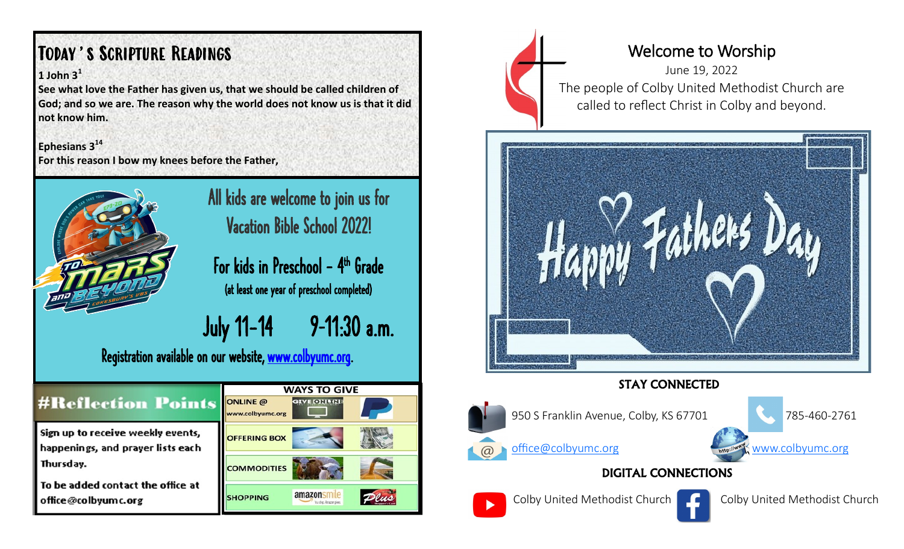# Today's Scripture Readings

#### **1 John 3<sup>1</sup>**

**See what love the Father has given us, that we should be called children of God; and so we are. The reason why the world does not know us is that it did not know him.** 

**Ephesians 3<sup>14</sup> For this reason I bow my knees before the Father,** 



## All kids are welcome to join us for Vacation Bible School 2022!

For kids in Preschool – 4<sup>th</sup> Grade (at least one year of preschool completed)

July 11-14 9–11:30 a.m.

Dlus

Registration available on our website, [www.colbyumc.org.](http://www.colbyumc.org)

|                                                                                                                                                 | <b>WAYS TO GIVE</b>                 |       |   |
|-------------------------------------------------------------------------------------------------------------------------------------------------|-------------------------------------|-------|---|
| <b>#Reflection Points</b>                                                                                                                       | <b>ONLINE</b> @<br>www.colbyumc.org |       |   |
| Sign up to receive weekly events,<br>happenings, and prayer lists each<br>Thursday.<br>To be added contact the office at<br>office@colbyumc.org | <b>OFFERING BOX</b>                 |       | y |
|                                                                                                                                                 | <b>COMMODITIES</b>                  |       |   |
|                                                                                                                                                 | <b>SHOPPING</b>                     | amazo |   |



## Welcome to Worship

June 19, 2022 The people of Colby United Methodist Church are called to reflect Christ in Colby and beyond.



### STAY CONNECTED